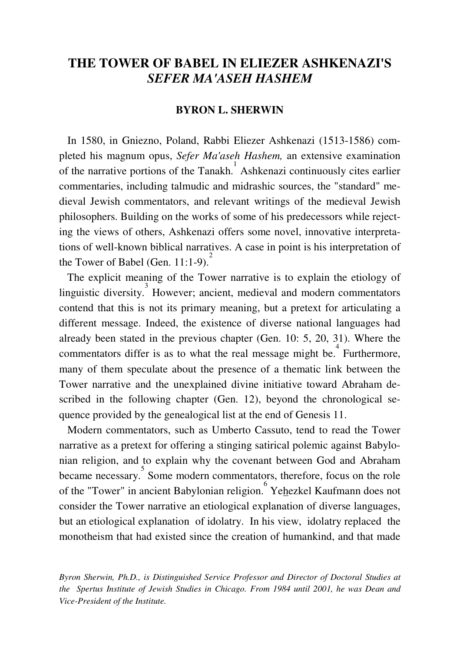# **THE TOWER OF BABEL IN ELIEZER ASHKENAZI'S**  *SEFER MA'ASEH HASHEM*

### **BYRON L. SHERWIN**

 In 1580, in Gniezno, Poland, Rabbi Eliezer Ashkenazi (1513-1586) completed his magnum opus, *Sefer Ma'aseh Hashem,* an extensive examination of the narrative portions of the Tanakh.<sup>1</sup> Ashkenazi continuously cites earlier commentaries, including talmudic and midrashic sources, the "standard" medieval Jewish commentators, and relevant writings of the medieval Jewish philosophers. Building on the works of some of his predecessors while rejecting the views of others, Ashkenazi offers some novel, innovative interpretations of well-known biblical narratives. A case in point is his interpretation of the Tower of Babel (Gen. 11:1-9).

 The explicit meaning of the Tower narrative is to explain the etiology of linguistic diversity.<sup>3</sup> However; ancient, medieval and modern commentators contend that this is not its primary meaning, but a pretext for articulating a different message. Indeed, the existence of diverse national languages had already been stated in the previous chapter (Gen. 10: 5, 20, 31). Where the commentators differ is as to what the real message might be. 4 Furthermore, many of them speculate about the presence of a thematic link between the Tower narrative and the unexplained divine initiative toward Abraham described in the following chapter (Gen. 12), beyond the chronological sequence provided by the genealogical list at the end of Genesis 11.

 Modern commentators, such as Umberto Cassuto, tend to read the Tower narrative as a pretext for offering a stinging satirical polemic against Babylonian religion, and to explain why the covenant between God and Abraham became necessary.<sup>5</sup> Some modern commentators, therefore, focus on the role of the "Tower" in ancient Babylonian religion. Yehezkel Kaufmann does not consider the Tower narrative an etiological explanation of diverse languages, but an etiological explanation of idolatry. In his view, idolatry replaced the monotheism that had existed since the creation of humankind, and that made

*Byron Sherwin, Ph.D., is Distinguished Service Professor and Director of Doctoral Studies at the Spertus Institute of Jewish Studies in Chicago. From 1984 until 2001, he was Dean and Vice-President of the Institute.*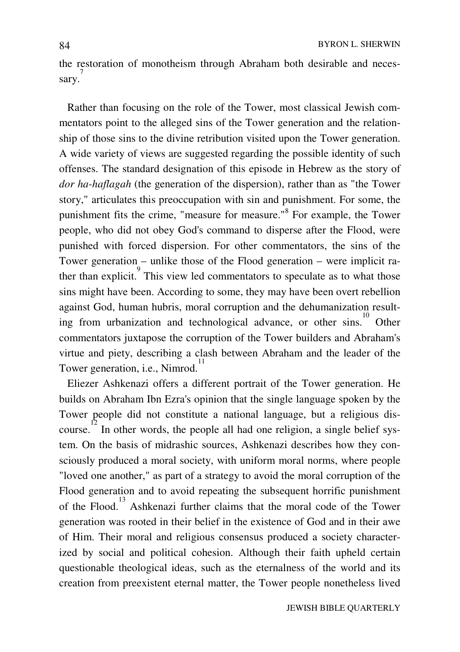the restoration of monotheism through Abraham both desirable and neces- $\frac{7}{7}$ sary.

 Rather than focusing on the role of the Tower, most classical Jewish commentators point to the alleged sins of the Tower generation and the relationship of those sins to the divine retribution visited upon the Tower generation. A wide variety of views are suggested regarding the possible identity of such offenses. The standard designation of this episode in Hebrew as the story of *dor ha-haflagah* (the generation of the dispersion), rather than as "the Tower story," articulates this preoccupation with sin and punishment. For some, the punishment fits the crime, "measure for measure."<sup>8</sup> For example, the Tower people, who did not obey God's command to disperse after the Flood, were punished with forced dispersion. For other commentators, the sins of the Tower generation – unlike those of the Flood generation – were implicit rather than explicit. This view led commentators to speculate as to what those sins might have been. According to some, they may have been overt rebellion against God, human hubris, moral corruption and the dehumanization resulting from urbanization and technological advance, or other sins.<sup>10</sup> Other commentators juxtapose the corruption of the Tower builders and Abraham's virtue and piety, describing a clash between Abraham and the leader of the Tower generation, i.e., Nimrod.<sup>11</sup>

 Eliezer Ashkenazi offers a different portrait of the Tower generation. He builds on Abraham Ibn Ezra's opinion that the single language spoken by the Tower people did not constitute a national language, but a religious discourse. <sup>12</sup> In other words, the people all had one religion, a single belief system. On the basis of midrashic sources, Ashkenazi describes how they consciously produced a moral society, with uniform moral norms, where people "loved one another," as part of a strategy to avoid the moral corruption of the Flood generation and to avoid repeating the subsequent horrific punishment of the Flood. 13 Ashkenazi further claims that the moral code of the Tower generation was rooted in their belief in the existence of God and in their awe of Him. Their moral and religious consensus produced a society characterized by social and political cohesion. Although their faith upheld certain questionable theological ideas, such as the eternalness of the world and its creation from preexistent eternal matter, the Tower people nonetheless lived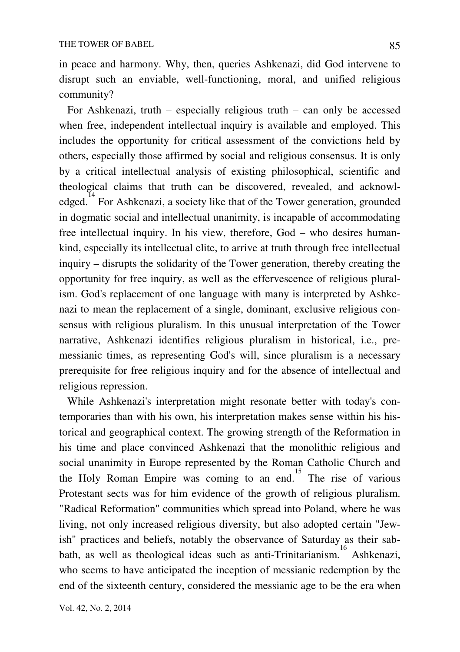in peace and harmony. Why, then, queries Ashkenazi, did God intervene to disrupt such an enviable, well-functioning, moral, and unified religious community?

 For Ashkenazi, truth – especially religious truth – can only be accessed when free, independent intellectual inquiry is available and employed. This includes the opportunity for critical assessment of the convictions held by others, especially those affirmed by social and religious consensus. It is only by a critical intellectual analysis of existing philosophical, scientific and theological claims that truth can be discovered, revealed, and acknowledged. <sup>14</sup> For Ashkenazi, a society like that of the Tower generation, grounded in dogmatic social and intellectual unanimity, is incapable of accommodating free intellectual inquiry. In his view, therefore, God – who desires humankind, especially its intellectual elite, to arrive at truth through free intellectual inquiry – disrupts the solidarity of the Tower generation, thereby creating the opportunity for free inquiry, as well as the effervescence of religious pluralism. God's replacement of one language with many is interpreted by Ashkenazi to mean the replacement of a single, dominant, exclusive religious consensus with religious pluralism. In this unusual interpretation of the Tower narrative, Ashkenazi identifies religious pluralism in historical, i.e., premessianic times, as representing God's will, since pluralism is a necessary prerequisite for free religious inquiry and for the absence of intellectual and religious repression.

 While Ashkenazi's interpretation might resonate better with today's contemporaries than with his own, his interpretation makes sense within his historical and geographical context. The growing strength of the Reformation in his time and place convinced Ashkenazi that the monolithic religious and social unanimity in Europe represented by the Roman Catholic Church and the Holy Roman Empire was coming to an end.<sup>15</sup> The rise of various Protestant sects was for him evidence of the growth of religious pluralism. "Radical Reformation" communities which spread into Poland, where he was living, not only increased religious diversity, but also adopted certain "Jewish" practices and beliefs, notably the observance of Saturday as their sabbath, as well as theological ideas such as anti-Trinitarianism. 16 Ashkenazi, who seems to have anticipated the inception of messianic redemption by the end of the sixteenth century, considered the messianic age to be the era when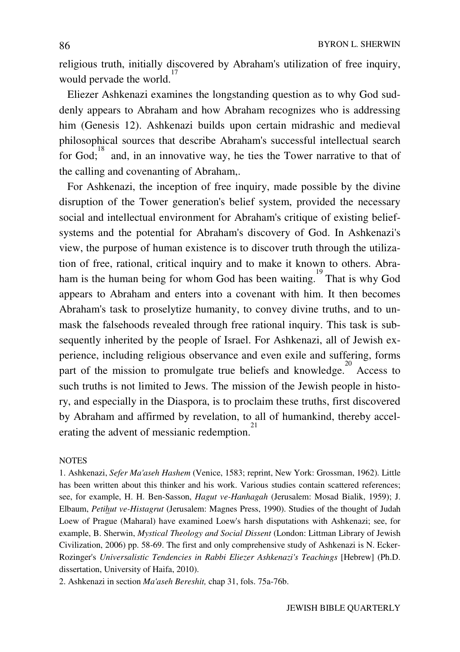religious truth, initially discovered by Abraham's utilization of free inquiry, would pervade the world.<sup>17</sup>

 Eliezer Ashkenazi examines the longstanding question as to why God suddenly appears to Abraham and how Abraham recognizes who is addressing him (Genesis 12). Ashkenazi builds upon certain midrashic and medieval philosophical sources that describe Abraham's successful intellectual search for God; and, in an innovative way, he ties the Tower narrative to that of the calling and covenanting of Abraham,.

 For Ashkenazi, the inception of free inquiry, made possible by the divine disruption of the Tower generation's belief system, provided the necessary social and intellectual environment for Abraham's critique of existing beliefsystems and the potential for Abraham's discovery of God. In Ashkenazi's view, the purpose of human existence is to discover truth through the utilization of free, rational, critical inquiry and to make it known to others. Abraham is the human being for whom God has been waiting.<sup>19</sup> That is why God appears to Abraham and enters into a covenant with him. It then becomes Abraham's task to proselytize humanity, to convey divine truths, and to unmask the falsehoods revealed through free rational inquiry. This task is subsequently inherited by the people of Israel. For Ashkenazi, all of Jewish experience, including religious observance and even exile and suffering, forms part of the mission to promulgate true beliefs and knowledge.<sup>20</sup> Access to such truths is not limited to Jews. The mission of the Jewish people in history, and especially in the Diaspora, is to proclaim these truths, first discovered by Abraham and affirmed by revelation, to all of humankind, thereby accelerating the advent of messianic redemption.

#### **NOTES**

1. Ashkenazi, *Sefer Ma'aseh Hashem* (Venice, 1583; reprint, New York: Grossman, 1962). Little has been written about this thinker and his work. Various studies contain scattered references; see, for example, H. H. Ben-Sasson, *Hagut ve-Hanhagah* (Jerusalem: Mosad Bialik, 1959); J. Elbaum, *Petihut ve-Histagrut* (Jerusalem: Magnes Press, 1990). Studies of the thought of Judah Loew of Prague (Maharal) have examined Loew's harsh disputations with Ashkenazi; see, for example, B. Sherwin, *Mystical Theology and Social Dissent* (London: Littman Library of Jewish Civilization, 2006) pp. 58-69. The first and only comprehensive study of Ashkenazi is N. Ecker-Rozinger's *Universalistic Tendencies in Rabbi Eliezer Ashkenazi's Teachings* [Hebrew] (Ph.D. dissertation, University of Haifa, 2010).

2. Ashkenazi in section *Ma'aseh Bereshit,* chap 31, fols. 75a-76b.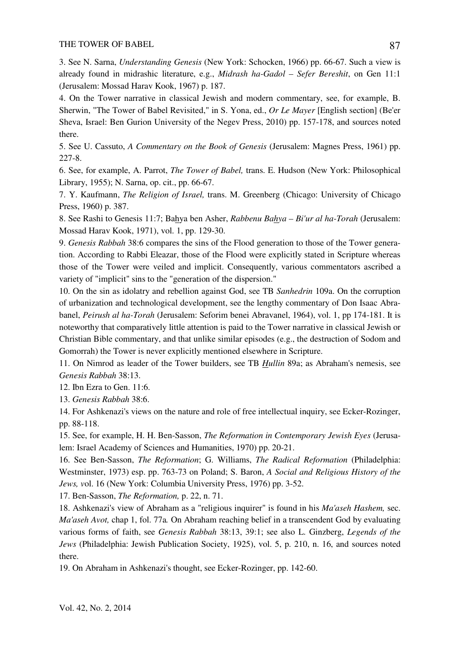3. See N. Sarna, *Understanding Genesis* (New York: Schocken, 1966) pp. 66-67. Such a view is already found in midrashic literature, e.g., *Midrash ha-Gadol – Sefer Bereshit*, on Gen 11:1 (Jerusalem: Mossad Harav Kook, 1967) p. 187.

4. On the Tower narrative in classical Jewish and modern commentary, see, for example, B. Sherwin, "The Tower of Babel Revisited," in S. Yona, ed., *Or Le Mayer* [English section] (Be'er Sheva, Israel: Ben Gurion University of the Negev Press, 2010) pp. 157-178, and sources noted there.

5. See U. Cassuto, *A Commentary on the Book of Genesis* (Jerusalem: Magnes Press, 1961) pp. 227-8.

6. See, for example, A. Parrot, *The Tower of Babel,* trans. E. Hudson (New York: Philosophical Library, 1955); N. Sarna, op. cit., pp. 66-67.

7. Y. Kaufmann, *The Religion of Israel,* trans. M. Greenberg (Chicago: University of Chicago Press, 1960) p. 387.

8. See Rashi to Genesis 11:7; Bahya ben Asher, *Rabbenu Bahya – Bi'ur al ha-Torah* (Jerusalem: Mossad Harav Kook, 1971), vol. 1, pp. 129-30.

9. *Genesis Rabbah* 38:6 compares the sins of the Flood generation to those of the Tower generation. According to Rabbi Eleazar, those of the Flood were explicitly stated in Scripture whereas those of the Tower were veiled and implicit. Consequently, various commentators ascribed a variety of "implicit" sins to the "generation of the dispersion."

10. On the sin as idolatry and rebellion against God, see TB *Sanhedrin* 109a. On the corruption of urbanization and technological development, see the lengthy commentary of Don Isaac Abrabanel, *Peirush al ha-Torah* (Jerusalem: Seforim benei Abravanel, 1964), vol. 1, pp 174-181. It is noteworthy that comparatively little attention is paid to the Tower narrative in classical Jewish or Christian Bible commentary, and that unlike similar episodes (e.g., the destruction of Sodom and Gomorrah) the Tower is never explicitly mentioned elsewhere in Scripture.

11. On Nimrod as leader of the Tower builders, see TB *Hullin* 89a; as Abraham's nemesis, see *Genesis Rabbah* 38:13.

12. Ibn Ezra to Gen. 11:6.

13. *Genesis Rabbah* 38:6.

14. For Ashkenazi's views on the nature and role of free intellectual inquiry, see Ecker-Rozinger, pp. 88-118.

15. See, for example, H. H. Ben-Sasson, *The Reformation in Contemporary Jewish Eyes* (Jerusalem: Israel Academy of Sciences and Humanities, 1970) pp. 20-21.

16. See Ben-Sasson, *The Reformation*; G. Williams, *The Radical Reformation* (Philadelphia: Westminster, 1973) esp. pp. 763-73 on Poland; S. Baron, *A Social and Religious History of the Jews, v*ol. 16 (New York: Columbia University Press, 1976) pp. 3-52.

17. Ben-Sasson, *The Reformation,* p. 22, n. 71.

18. Ashkenazi's view of Abraham as a "religious inquirer" is found in his *Ma'aseh Hashem,* sec. *Ma'aseh Avot,* chap 1, fol. 77a*.* On Abraham reaching belief in a transcendent God by evaluating various forms of faith, see *Genesis Rabbah* 38:13, 39:1; see also L. Ginzberg, *Legends of the Jews* (Philadelphia: Jewish Publication Society, 1925), vol. 5, p. 210, n. 16, and sources noted there.

19. On Abraham in Ashkenazi's thought, see Ecker-Rozinger, pp. 142-60.